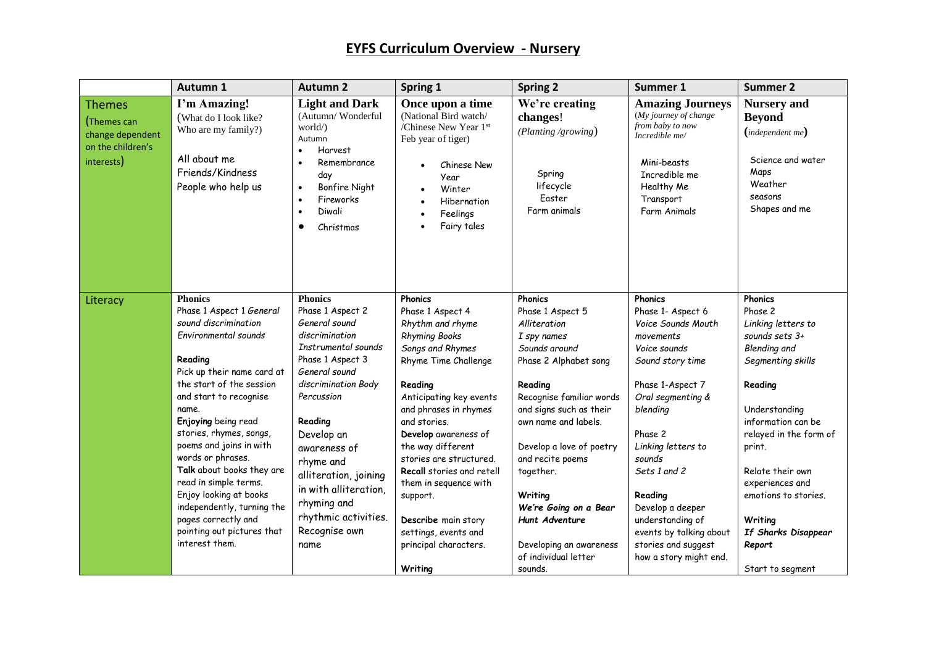|                                                                                     | Autumn 1                                                                                                                                                                                                                                                                                                                          | <b>Autumn 2</b>                                                                                                                                                                                                                                       | Spring 1                                                                                                                                                                                                                                                                                                       | <b>Spring 2</b>                                                                                                                                                                                                                                             | Summer 1                                                                                                                                                                                                                   | <b>Summer 2</b>                                                                                                                                                                                                  |
|-------------------------------------------------------------------------------------|-----------------------------------------------------------------------------------------------------------------------------------------------------------------------------------------------------------------------------------------------------------------------------------------------------------------------------------|-------------------------------------------------------------------------------------------------------------------------------------------------------------------------------------------------------------------------------------------------------|----------------------------------------------------------------------------------------------------------------------------------------------------------------------------------------------------------------------------------------------------------------------------------------------------------------|-------------------------------------------------------------------------------------------------------------------------------------------------------------------------------------------------------------------------------------------------------------|----------------------------------------------------------------------------------------------------------------------------------------------------------------------------------------------------------------------------|------------------------------------------------------------------------------------------------------------------------------------------------------------------------------------------------------------------|
| <b>Themes</b><br>(Themes can<br>change dependent<br>on the children's<br>interests) | I'm Amazing!<br>(What do I look like?<br>Who are my family?)<br>All about me<br>Friends/Kindness<br>People who help us                                                                                                                                                                                                            | <b>Light and Dark</b><br>(Autumn/Wonderful<br>world/)<br>Autumn<br>Harvest<br>$\bullet$<br>Remembrance<br>$\bullet$<br>day<br><b>Bonfire Night</b><br>$\bullet$<br>Fireworks<br>$\bullet$<br>Diwali<br>$\bullet$<br>Christmas<br>$\bullet$            | Once upon a time<br>(National Bird watch/<br>/Chinese New Year 1st<br>Feb year of tiger)<br>Chinese New<br>Year<br>Winter<br>$\bullet$<br>Hibernation<br>Feelings<br>$\bullet$<br>Fairy tales<br>$\bullet$                                                                                                     | We're creating<br>changes!<br>(Planting /growing)<br>Spring<br>lifecycle<br>Easter<br>Farm animals                                                                                                                                                          | <b>Amazing Journeys</b><br>(My journey of change<br>from baby to now<br>Incredible me/<br>Mini-beasts<br>Incredible me<br>Healthy Me<br>Transport<br>Farm Animals                                                          | <b>Nursery</b> and<br><b>Beyond</b><br>(independent me)<br>Science and water<br>Maps<br>Weather<br>seasons<br>Shapes and me                                                                                      |
| Literacy                                                                            | <b>Phonics</b><br>Phase 1 Aspect 1 General<br>sound discrimination<br>Environmental sounds<br>Reading<br>Pick up their name card at<br>the start of the session<br>and start to recognise<br>name.<br>Enjoying being read<br>stories, rhymes, songs,<br>poems and joins in with<br>words or phrases.<br>Talk about books they are | <b>Phonics</b><br>Phase 1 Aspect 2<br>General sound<br>discrimination<br>Instrumental sounds<br>Phase 1 Aspect 3<br>General sound<br>discrimination Body<br>Percussion<br>Reading<br>Develop an<br>awareness of<br>rhyme and<br>alliteration, joining | <b>Phonics</b><br>Phase 1 Aspect 4<br>Rhythm and rhyme<br><b>Rhyming Books</b><br>Songs and Rhymes<br>Rhyme Time Challenge<br>Reading<br>Anticipating key events<br>and phrases in rhymes<br>and stories.<br>Develop awareness of<br>the way different<br>stories are structured.<br>Recall stories and retell | Phonics<br>Phase 1 Aspect 5<br>Alliteration<br>I spy names<br>Sounds around<br>Phase 2 Alphabet song<br>Reading<br>Recognise familiar words<br>and signs such as their<br>own name and labels.<br>Develop a love of poetry<br>and recite poems<br>together. | <b>Phonics</b><br>Phase 1- Aspect 6<br>Voice Sounds Mouth<br>movements<br>Voice sounds<br>Sound story time<br>Phase 1-Aspect 7<br>Oral segmenting &<br>blending<br>Phase 2<br>Linking letters to<br>sounds<br>Sets 1 and 2 | <b>Phonics</b><br>Phase 2<br>Linking letters to<br>sounds sets 3+<br>Blending and<br>Segmenting skills<br>Reading<br>Understanding<br>information can be<br>relayed in the form of<br>print.<br>Relate their own |
|                                                                                     | read in simple terms.<br>Enjoy looking at books<br>independently, turning the<br>pages correctly and<br>pointing out pictures that<br>interest them.                                                                                                                                                                              | in with alliteration,<br>rhyming and<br>rhythmic activities.<br>Recognise own<br>name                                                                                                                                                                 | them in sequence with<br>support.<br>Describe main story<br>settings, events and<br>principal characters.<br>Writing                                                                                                                                                                                           | Writing<br>We're Going on a Bear<br>Hunt Adventure<br>Developing an awareness<br>of individual letter<br>sounds.                                                                                                                                            | Reading<br>Develop a deeper<br>understanding of<br>events by talking about<br>stories and suggest<br>how a story might end.                                                                                                | experiences and<br>emotions to stories.<br>Writing<br>If Sharks Disappear<br>Report<br>Start to segment                                                                                                          |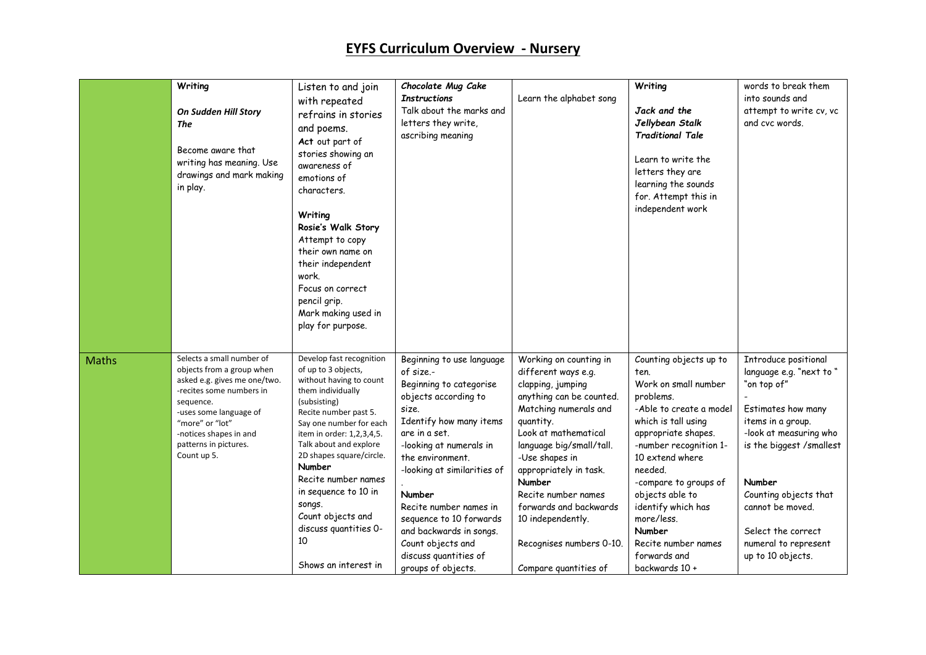|              | Writing<br>On Sudden Hill Story<br>The<br>Become aware that<br>writing has meaning. Use<br>drawings and mark making<br>in play.                                                                                                                | Listen to and join<br>with repeated<br>refrains in stories<br>and poems.<br>Act out part of<br>stories showing an<br>awareness of<br>emotions of<br>characters.<br>Writing<br>Rosie's Walk Story<br>Attempt to copy<br>their own name on<br>their independent<br>work.<br>Focus on correct<br>pencil grip.<br>Mark making used in<br>play for purpose.                                                | Chocolate Mug Cake<br><b>Instructions</b><br>Talk about the marks and<br>letters they write,<br>ascribing meaning                                                                                                                                                                                                                                                                          | Learn the alphabet song                                                                                                                                                                                                                                                                                                                                                   | Writing<br>Jack and the<br>Jellybean Stalk<br><b>Traditional Tale</b><br>Learn to write the<br>letters they are<br>learning the sounds<br>for. Attempt this in<br>independent work                                                                                                                                                                      | words to break them<br>into sounds and<br>attempt to write cv, vc<br>and cvc words.                                                                                                                                                                                                        |
|--------------|------------------------------------------------------------------------------------------------------------------------------------------------------------------------------------------------------------------------------------------------|-------------------------------------------------------------------------------------------------------------------------------------------------------------------------------------------------------------------------------------------------------------------------------------------------------------------------------------------------------------------------------------------------------|--------------------------------------------------------------------------------------------------------------------------------------------------------------------------------------------------------------------------------------------------------------------------------------------------------------------------------------------------------------------------------------------|---------------------------------------------------------------------------------------------------------------------------------------------------------------------------------------------------------------------------------------------------------------------------------------------------------------------------------------------------------------------------|---------------------------------------------------------------------------------------------------------------------------------------------------------------------------------------------------------------------------------------------------------------------------------------------------------------------------------------------------------|--------------------------------------------------------------------------------------------------------------------------------------------------------------------------------------------------------------------------------------------------------------------------------------------|
| <b>Maths</b> | Selects a small number of<br>objects from a group when<br>asked e.g. gives me one/two.<br>-recites some numbers in<br>sequence.<br>-uses some language of<br>"more" or "lot"<br>-notices shapes in and<br>patterns in pictures.<br>Count up 5. | Develop fast recognition<br>of up to 3 objects,<br>without having to count<br>them individually<br>(subsisting)<br>Recite number past 5.<br>Say one number for each<br>item in order: 1,2,3,4,5.<br>Talk about and explore<br>2D shapes square/circle.<br>Number<br>Recite number names<br>in sequence to 10 in<br>songs.<br>Count objects and<br>discuss quantities 0-<br>10<br>Shows an interest in | Beginning to use language<br>of size.-<br>Beginning to categorise<br>objects according to<br>size.<br>Identify how many items<br>are in a set.<br>-looking at numerals in<br>the environment.<br>-looking at similarities of<br>Number<br>Recite number names in<br>sequence to 10 forwards<br>and backwards in songs.<br>Count objects and<br>discuss quantities of<br>groups of objects. | Working on counting in<br>different ways e.g.<br>clapping, jumping<br>anything can be counted.<br>Matching numerals and<br>quantity.<br>Look at mathematical<br>language big/small/tall.<br>-Use shapes in<br>appropriately in task.<br>Number<br>Recite number names<br>forwards and backwards<br>10 independently.<br>Recognises numbers 0-10.<br>Compare quantities of | Counting objects up to<br>ten.<br>Work on small number<br>problems.<br>-Able to create a model<br>which is tall using<br>appropriate shapes.<br>-number recognition 1-<br>10 extend where<br>needed.<br>-compare to groups of<br>objects able to<br>identify which has<br>more/less.<br>Number<br>Recite number names<br>forwards and<br>backwards 10 + | Introduce positional<br>language e.g. "next to "<br>"on top of"<br>Estimates how many<br>items in a group.<br>-look at measuring who<br>is the biggest /smallest<br>Number<br>Counting objects that<br>cannot be moved.<br>Select the correct<br>numeral to represent<br>up to 10 objects. |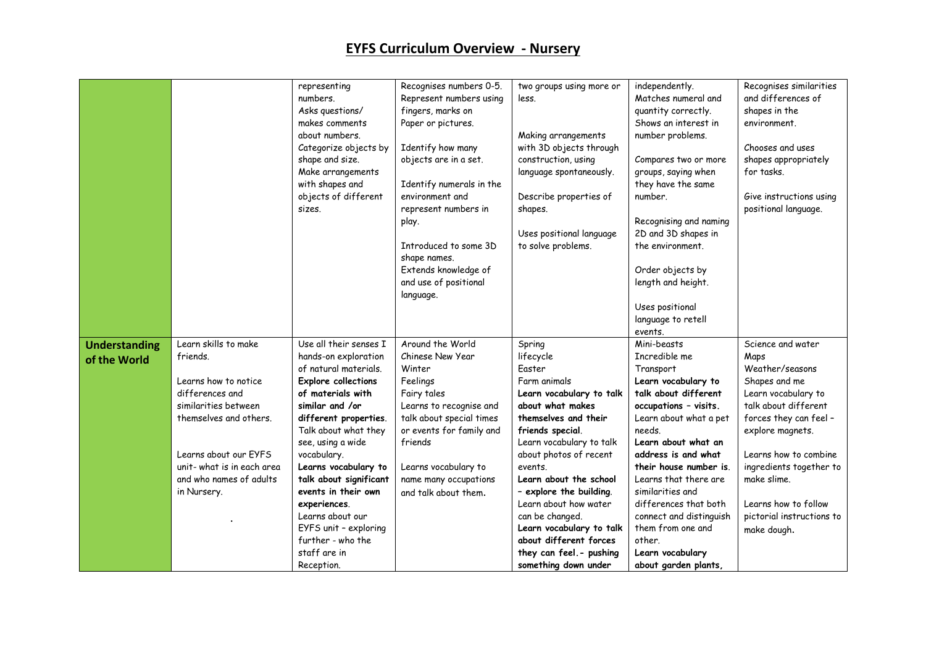|                      |                           | representing               | Recognises numbers 0-5.  | two groups using more or | independently.          | Recognises similarities   |
|----------------------|---------------------------|----------------------------|--------------------------|--------------------------|-------------------------|---------------------------|
|                      |                           | numbers.                   | Represent numbers using  | less.                    | Matches numeral and     | and differences of        |
|                      |                           | Asks questions/            | fingers, marks on        |                          | quantity correctly.     | shapes in the             |
|                      |                           | makes comments             | Paper or pictures.       |                          | Shows an interest in    | environment.              |
|                      |                           | about numbers.             |                          | Making arrangements      | number problems.        |                           |
|                      |                           | Categorize objects by      | Identify how many        | with 3D objects through  |                         | Chooses and uses          |
|                      |                           | shape and size.            | objects are in a set.    | construction, using      | Compares two or more    | shapes appropriately      |
|                      |                           | Make arrangements          |                          | language spontaneously.  | groups, saying when     | for tasks.                |
|                      |                           | with shapes and            | Identify numerals in the |                          | they have the same      |                           |
|                      |                           | objects of different       | environment and          | Describe properties of   | number.                 | Give instructions using   |
|                      |                           | sizes.                     | represent numbers in     | shapes.                  |                         | positional language.      |
|                      |                           |                            | play.                    |                          | Recognising and naming  |                           |
|                      |                           |                            |                          | Uses positional language | 2D and 3D shapes in     |                           |
|                      |                           |                            | Introduced to some 3D    | to solve problems.       | the environment.        |                           |
|                      |                           |                            | shape names.             |                          |                         |                           |
|                      |                           |                            | Extends knowledge of     |                          | Order objects by        |                           |
|                      |                           |                            | and use of positional    |                          | length and height.      |                           |
|                      |                           |                            | language.                |                          |                         |                           |
|                      |                           |                            |                          |                          | Uses positional         |                           |
|                      |                           |                            |                          |                          | language to retell      |                           |
|                      |                           |                            |                          |                          | events.                 |                           |
| <b>Understanding</b> | Learn skills to make      | Use all their senses I     | Around the World         | Spring                   | Mini-beasts             | Science and water         |
| of the World         | friends.                  | hands-on exploration       | Chinese New Year         | lifecycle                | Incredible me           | Maps                      |
|                      |                           | of natural materials.      | Winter                   | Faster                   | Transport               | Weather/seasons           |
|                      | Learns how to notice      | <b>Explore collections</b> | Feelings                 | Farm animals             | Learn vocabulary to     | Shapes and me             |
|                      | differences and           | of materials with          | Fairy tales              | Learn vocabulary to talk | talk about different    | Learn vocabulary to       |
|                      | similarities between      | similar and /or            | Learns to recognise and  | about what makes         | occupations - visits.   | talk about different      |
|                      | themselves and others.    | different properties.      | talk about special times | themselves and their     | Learn about what a pet  | forces they can feel -    |
|                      |                           | Talk about what they       | or events for family and | friends special.         | needs.                  | explore magnets.          |
|                      |                           | see, using a wide          | friends                  | Learn vocabulary to talk | Learn about what an     |                           |
|                      | Learns about our EYFS     | vocabulary.                |                          | about photos of recent   | address is and what     | Learns how to combine     |
|                      | unit-what is in each area | Learns vocabulary to       | Learns vocabulary to     | events.                  | their house number is.  | ingredients together to   |
|                      | and who names of adults   | talk about significant     | name many occupations    | Learn about the school   | Learns that there are   | make slime.               |
|                      | in Nursery.               | events in their own        | and talk about them.     | - explore the building.  | similarities and        |                           |
|                      |                           | experiences.               |                          | Learn about how water    | differences that both   | Learns how to follow      |
|                      |                           | Learns about our           |                          | can be changed.          | connect and distinguish | pictorial instructions to |
|                      |                           | EYFS unit - exploring      |                          | Learn vocabulary to talk | them from one and       | make dough.               |
|                      |                           | further - who the          |                          | about different forces   | other.                  |                           |
|                      |                           | staff are in               |                          | they can feel. - pushing | Learn vocabulary        |                           |
|                      |                           | Reception.                 |                          | something down under     | about garden plants,    |                           |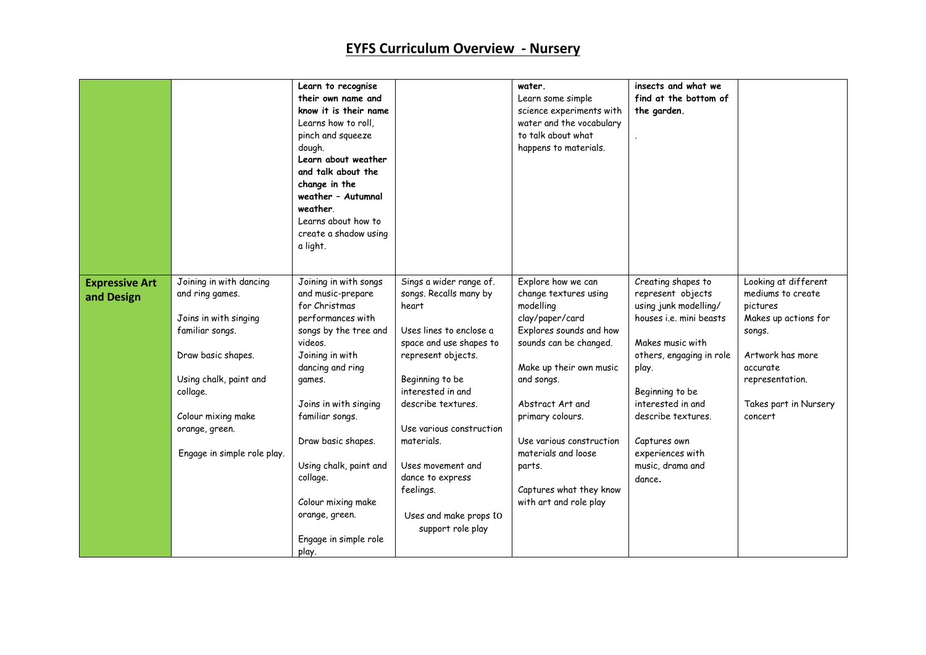|                                     |                                                                                                                                                                                                                           | Learn to recognise<br>their own name and<br>know it is their name<br>Learns how to roll,<br>pinch and squeeze<br>dough.<br>Learn about weather<br>and talk about the<br>change in the<br>weather - Autumnal<br>weather.<br>Learns about how to<br>create a shadow using<br>a light.                                                                     |                                                                                                                                                                                                                                                                                                                                                     | water.<br>Learn some simple<br>science experiments with<br>water and the vocabulary<br>to talk about what<br>happens to materials.                                                                                                                                                                                                  | insects and what we<br>find at the bottom of<br>the garden.                                                                                                                                                                                                                          |                                                                                                                                                                                |
|-------------------------------------|---------------------------------------------------------------------------------------------------------------------------------------------------------------------------------------------------------------------------|---------------------------------------------------------------------------------------------------------------------------------------------------------------------------------------------------------------------------------------------------------------------------------------------------------------------------------------------------------|-----------------------------------------------------------------------------------------------------------------------------------------------------------------------------------------------------------------------------------------------------------------------------------------------------------------------------------------------------|-------------------------------------------------------------------------------------------------------------------------------------------------------------------------------------------------------------------------------------------------------------------------------------------------------------------------------------|--------------------------------------------------------------------------------------------------------------------------------------------------------------------------------------------------------------------------------------------------------------------------------------|--------------------------------------------------------------------------------------------------------------------------------------------------------------------------------|
| <b>Expressive Art</b><br>and Design | Joining in with dancing<br>and ring games.<br>Joins in with singing<br>familiar songs.<br>Draw basic shapes.<br>Using chalk, paint and<br>collage.<br>Colour mixing make<br>orange, green.<br>Engage in simple role play. | Joining in with songs<br>and music-prepare<br>for Christmas<br>performances with<br>songs by the tree and<br>videos.<br>Joining in with<br>dancing and ring<br>games.<br>Joins in with singing<br>familiar songs.<br>Draw basic shapes.<br>Using chalk, paint and<br>collage.<br>Colour mixing make<br>orange, green.<br>Engage in simple role<br>play. | Sings a wider range of.<br>songs. Recalls many by<br>heart<br>Uses lines to enclose a<br>space and use shapes to<br>represent objects.<br>Beginning to be<br>interested in and<br>describe textures.<br>Use various construction<br>materials.<br>Uses movement and<br>dance to express<br>feelings.<br>Uses and make props to<br>support role play | Explore how we can<br>change textures using<br>modelling<br>clay/paper/card<br>Explores sounds and how<br>sounds can be changed.<br>Make up their own music<br>and songs.<br>Abstract Art and<br>primary colours.<br>Use various construction<br>materials and loose<br>parts.<br>Captures what they know<br>with art and role play | Creating shapes to<br>represent objects<br>using junk modelling/<br>houses i.e. mini beasts<br>Makes music with<br>others, engaging in role<br>play.<br>Beginning to be<br>interested in and<br>describe textures.<br>Captures own<br>experiences with<br>music, drama and<br>dance. | Looking at different<br>mediums to create<br>pictures<br>Makes up actions for<br>songs.<br>Artwork has more<br>accurate<br>representation.<br>Takes part in Nursery<br>concert |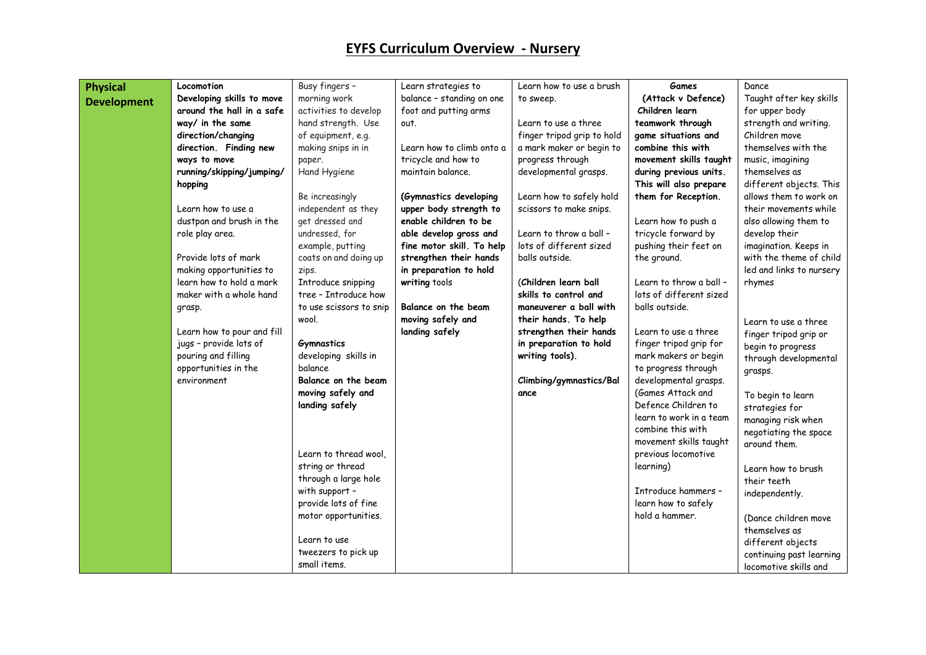|                    | Locomotion                 | Busy fingers -          | Learn strategies to       | Learn how to use a brush   | <b>Games</b>            | Dance                    |
|--------------------|----------------------------|-------------------------|---------------------------|----------------------------|-------------------------|--------------------------|
| <b>Physical</b>    | Developing skills to move  | morning work            |                           |                            | (Attack v Defence)      | Taught after key skills  |
| <b>Development</b> | around the hall in a safe  |                         | balance - standing on one | to sweep.                  | Children learn          |                          |
|                    | way/ in the same           | activities to develop   | foot and putting arms     | Learn to use a three       |                         | for upper body           |
|                    |                            | hand strength. Use      | out.                      |                            | teamwork through        | strength and writing.    |
|                    | direction/changing         | of equipment, e.g.      |                           | finger tripod grip to hold | game situations and     | Children move            |
|                    | direction. Finding new     | making snips in in      | Learn how to climb onto a | a mark maker or begin to   | combine this with       | themselves with the      |
|                    | ways to move               | paper.                  | tricycle and how to       | progress through           | movement skills taught  | music, imagining         |
|                    | running/skipping/jumping/  | Hand Hygiene            | maintain balance.         | developmental grasps.      | during previous units.  | themselves as            |
|                    | hopping                    |                         |                           |                            | This will also prepare  | different objects. This  |
|                    |                            | Be increasingly         | (Gymnastics developing    | Learn how to safely hold   | them for Reception.     | allows them to work on   |
|                    | Learn how to use a         | independent as they     | upper body strength to    | scissors to make snips.    |                         | their movements while    |
|                    | dustpan and brush in the   | get dressed and         | enable children to be     |                            | Learn how to push a     | also allowing them to    |
|                    | role play area.            | undressed, for          | able develop gross and    | Learn to throw a ball -    | tricycle forward by     | develop their            |
|                    |                            | example, putting        | fine motor skill. To help | lots of different sized    | pushing their feet on   | imagination. Keeps in    |
|                    | Provide lots of mark       | coats on and doing up   | strengthen their hands    | balls outside.             | the ground.             | with the theme of child  |
|                    | making opportunities to    | zips.                   | in preparation to hold    |                            |                         | led and links to nursery |
|                    | learn how to hold a mark   | Introduce snipping      | writing tools             | (Children learn ball       | Learn to throw a ball - | rhymes                   |
|                    | maker with a whole hand    | tree - Introduce how    |                           | skills to control and      | lots of different sized |                          |
|                    | grasp.                     | to use scissors to snip | Balance on the beam       | maneuverer a ball with     | balls outside.          |                          |
|                    |                            | wool.                   | moving safely and         | their hands. To help       |                         | Learn to use a three     |
|                    | Learn how to pour and fill |                         | landing safely            | strengthen their hands     | Learn to use a three    | finger tripod grip or    |
|                    | jugs - provide lots of     | <b>Gymnastics</b>       |                           | in preparation to hold     | finger tripod grip for  | begin to progress        |
|                    | pouring and filling        | developing skills in    |                           | writing tools).            | mark makers or begin    | through developmental    |
|                    | opportunities in the       | balance                 |                           |                            | to progress through     | grasps.                  |
|                    | environment                | Balance on the beam     |                           | Climbing/gymnastics/Bal    | developmental grasps.   |                          |
|                    |                            | moving safely and       |                           | ance                       | (Games Attack and       | To begin to learn        |
|                    |                            | landing safely          |                           |                            | Defence Children to     | strategies for           |
|                    |                            |                         |                           |                            | learn to work in a team | managing risk when       |
|                    |                            |                         |                           |                            | combine this with       | negotiating the space    |
|                    |                            |                         |                           |                            | movement skills taught  | around them.             |
|                    |                            | Learn to thread wool.   |                           |                            | previous locomotive     |                          |
|                    |                            | string or thread        |                           |                            | learning)               | Learn how to brush       |
|                    |                            | through a large hole    |                           |                            |                         | their teeth              |
|                    |                            | with support -          |                           |                            | Introduce hammers -     | independently.           |
|                    |                            | provide lots of fine    |                           |                            | learn how to safely     |                          |
|                    |                            | motor opportunities.    |                           |                            | hold a hammer.          | (Dance children move     |
|                    |                            |                         |                           |                            |                         | themselves as            |
|                    |                            | Learn to use            |                           |                            |                         | different objects        |
|                    |                            | tweezers to pick up     |                           |                            |                         | continuing past learning |
|                    |                            | small items.            |                           |                            |                         | locomotive skills and    |
|                    |                            |                         |                           |                            |                         |                          |